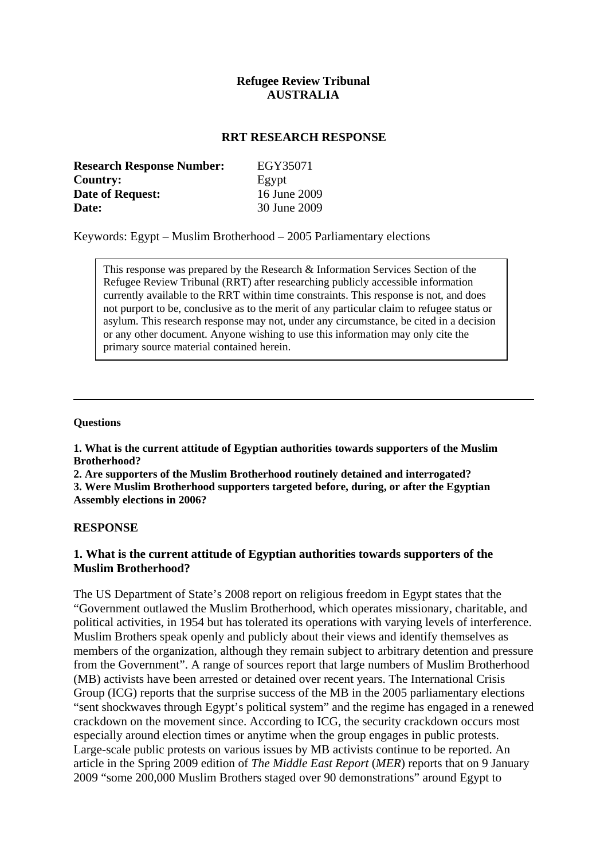## **Refugee Review Tribunal AUSTRALIA**

### **RRT RESEARCH RESPONSE**

| <b>Research Response Number:</b> | EGY35071     |
|----------------------------------|--------------|
| <b>Country:</b>                  | Egypt        |
| <b>Date of Request:</b>          | 16 June 2009 |
| Date:                            | 30 June 2009 |

Keywords: Egypt – Muslim Brotherhood – 2005 Parliamentary elections

This response was prepared by the Research & Information Services Section of the Refugee Review Tribunal (RRT) after researching publicly accessible information currently available to the RRT within time constraints. This response is not, and does not purport to be, conclusive as to the merit of any particular claim to refugee status or asylum. This research response may not, under any circumstance, be cited in a decision or any other document. Anyone wishing to use this information may only cite the primary source material contained herein.

#### **Questions**

**1. What is the current attitude of Egyptian authorities towards supporters of the Muslim Brotherhood?** 

**2. Are supporters of the Muslim Brotherhood routinely detained and interrogated? 3. Were Muslim Brotherhood supporters targeted before, during, or after the Egyptian Assembly elections in 2006?**

### **RESPONSE**

## **1. What is the current attitude of Egyptian authorities towards supporters of the Muslim Brotherhood?**

The US Department of State's 2008 report on religious freedom in Egypt states that the "Government outlawed the Muslim Brotherhood, which operates missionary, charitable, and political activities, in 1954 but has tolerated its operations with varying levels of interference. Muslim Brothers speak openly and publicly about their views and identify themselves as members of the organization, although they remain subject to arbitrary detention and pressure from the Government". A range of sources report that large numbers of Muslim Brotherhood (MB) activists have been arrested or detained over recent years. The International Crisis Group (ICG) reports that the surprise success of the MB in the 2005 parliamentary elections "sent shockwaves through Egypt's political system" and the regime has engaged in a renewed crackdown on the movement since. According to ICG, the security crackdown occurs most especially around election times or anytime when the group engages in public protests. Large-scale public protests on various issues by MB activists continue to be reported. An article in the Spring 2009 edition of *The Middle East Report* (*MER*) reports that on 9 January 2009 "some 200,000 Muslim Brothers staged over 90 demonstrations" around Egypt to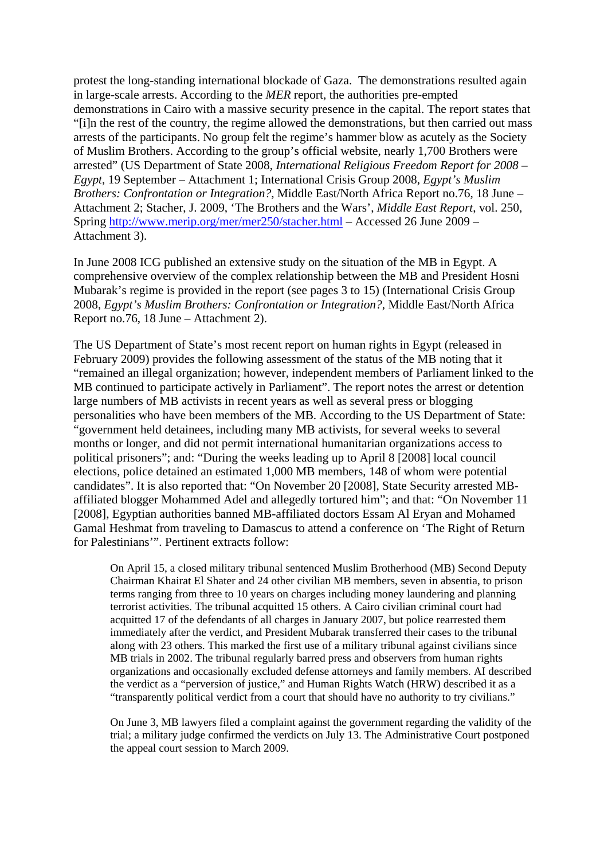protest the long-standing international blockade of Gaza. The demonstrations resulted again in large-scale arrests. According to the *MER* report, the authorities pre-empted demonstrations in Cairo with a massive security presence in the capital. The report states that "[i]n the rest of the country, the regime allowed the demonstrations, but then carried out mass arrests of the participants. No group felt the regime's hammer blow as acutely as the Society of Muslim Brothers. According to the group's official website, nearly 1,700 Brothers were arrested" (US Department of State 2008, *International Religious Freedom Report for 2008 – Egypt*, 19 September – Attachment 1; International Crisis Group 2008, *Egypt's Muslim Brothers: Confrontation or Integration?*, Middle East/North Africa Report no.76, 18 June – Attachment 2; Stacher, J. 2009, 'The Brothers and the Wars', *Middle East Report*, vol. 250, Spring<http://www.merip.org/mer/mer250/stacher.html>– Accessed 26 June 2009 – Attachment 3).

In June 2008 ICG published an extensive study on the situation of the MB in Egypt. A comprehensive overview of the complex relationship between the MB and President Hosni Mubarak's regime is provided in the report (see pages 3 to 15) (International Crisis Group 2008, *Egypt's Muslim Brothers: Confrontation or Integration?*, Middle East/North Africa Report no.76, 18 June – Attachment 2).

The US Department of State's most recent report on human rights in Egypt (released in February 2009) provides the following assessment of the status of the MB noting that it "remained an illegal organization; however, independent members of Parliament linked to the MB continued to participate actively in Parliament". The report notes the arrest or detention large numbers of MB activists in recent years as well as several press or blogging personalities who have been members of the MB. According to the US Department of State: "government held detainees, including many MB activists, for several weeks to several months or longer, and did not permit international humanitarian organizations access to political prisoners"; and: "During the weeks leading up to April 8 [2008] local council elections, police detained an estimated 1,000 MB members, 148 of whom were potential candidates". It is also reported that: "On November 20 [2008], State Security arrested MBaffiliated blogger Mohammed Adel and allegedly tortured him"; and that: "On November 11 [2008], Egyptian authorities banned MB-affiliated doctors Essam Al Eryan and Mohamed Gamal Heshmat from traveling to Damascus to attend a conference on 'The Right of Return for Palestinians'". Pertinent extracts follow:

On April 15, a closed military tribunal sentenced Muslim Brotherhood (MB) Second Deputy Chairman Khairat El Shater and 24 other civilian MB members, seven in absentia, to prison terms ranging from three to 10 years on charges including money laundering and planning terrorist activities. The tribunal acquitted 15 others. A Cairo civilian criminal court had acquitted 17 of the defendants of all charges in January 2007, but police rearrested them immediately after the verdict, and President Mubarak transferred their cases to the tribunal along with 23 others. This marked the first use of a military tribunal against civilians since MB trials in 2002. The tribunal regularly barred press and observers from human rights organizations and occasionally excluded defense attorneys and family members. AI described the verdict as a "perversion of justice," and Human Rights Watch (HRW) described it as a "transparently political verdict from a court that should have no authority to try civilians."

On June 3, MB lawyers filed a complaint against the government regarding the validity of the trial; a military judge confirmed the verdicts on July 13. The Administrative Court postponed the appeal court session to March 2009.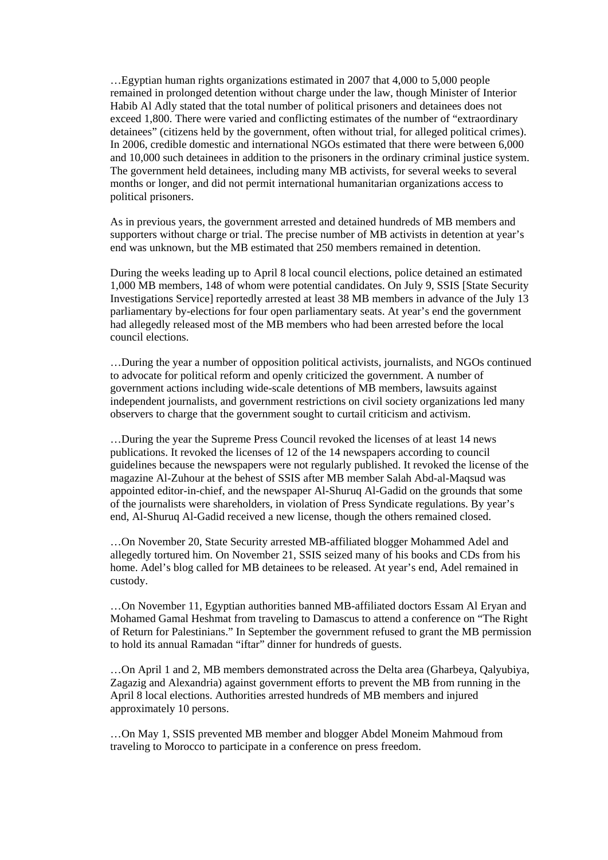…Egyptian human rights organizations estimated in 2007 that 4,000 to 5,000 people remained in prolonged detention without charge under the law, though Minister of Interior Habib Al Adly stated that the total number of political prisoners and detainees does not exceed 1,800. There were varied and conflicting estimates of the number of "extraordinary detainees" (citizens held by the government, often without trial, for alleged political crimes). In 2006, credible domestic and international NGOs estimated that there were between 6,000 and 10,000 such detainees in addition to the prisoners in the ordinary criminal justice system. The government held detainees, including many MB activists, for several weeks to several months or longer, and did not permit international humanitarian organizations access to political prisoners.

As in previous years, the government arrested and detained hundreds of MB members and supporters without charge or trial. The precise number of MB activists in detention at year's end was unknown, but the MB estimated that 250 members remained in detention.

During the weeks leading up to April 8 local council elections, police detained an estimated 1,000 MB members, 148 of whom were potential candidates. On July 9, SSIS [State Security Investigations Service] reportedly arrested at least 38 MB members in advance of the July 13 parliamentary by-elections for four open parliamentary seats. At year's end the government had allegedly released most of the MB members who had been arrested before the local council elections.

…During the year a number of opposition political activists, journalists, and NGOs continued to advocate for political reform and openly criticized the government. A number of government actions including wide-scale detentions of MB members, lawsuits against independent journalists, and government restrictions on civil society organizations led many observers to charge that the government sought to curtail criticism and activism.

…During the year the Supreme Press Council revoked the licenses of at least 14 news publications. It revoked the licenses of 12 of the 14 newspapers according to council guidelines because the newspapers were not regularly published. It revoked the license of the magazine Al-Zuhour at the behest of SSIS after MB member Salah Abd-al-Maqsud was appointed editor-in-chief, and the newspaper Al-Shuruq Al-Gadid on the grounds that some of the journalists were shareholders, in violation of Press Syndicate regulations. By year's end, Al-Shuruq Al-Gadid received a new license, though the others remained closed.

…On November 20, State Security arrested MB-affiliated blogger Mohammed Adel and allegedly tortured him. On November 21, SSIS seized many of his books and CDs from his home. Adel's blog called for MB detainees to be released. At year's end, Adel remained in custody.

…On November 11, Egyptian authorities banned MB-affiliated doctors Essam Al Eryan and Mohamed Gamal Heshmat from traveling to Damascus to attend a conference on "The Right of Return for Palestinians." In September the government refused to grant the MB permission to hold its annual Ramadan "iftar" dinner for hundreds of guests.

…On April 1 and 2, MB members demonstrated across the Delta area (Gharbeya, Qalyubiya, Zagazig and Alexandria) against government efforts to prevent the MB from running in the April 8 local elections. Authorities arrested hundreds of MB members and injured approximately 10 persons.

…On May 1, SSIS prevented MB member and blogger Abdel Moneim Mahmoud from traveling to Morocco to participate in a conference on press freedom.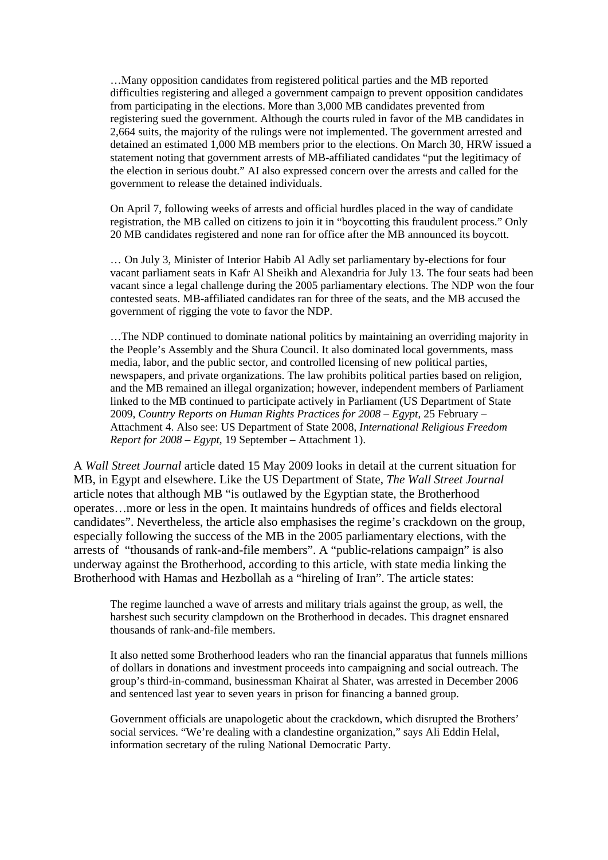…Many opposition candidates from registered political parties and the MB reported difficulties registering and alleged a government campaign to prevent opposition candidates from participating in the elections. More than 3,000 MB candidates prevented from registering sued the government. Although the courts ruled in favor of the MB candidates in 2,664 suits, the majority of the rulings were not implemented. The government arrested and detained an estimated 1,000 MB members prior to the elections. On March 30, HRW issued a statement noting that government arrests of MB-affiliated candidates "put the legitimacy of the election in serious doubt." AI also expressed concern over the arrests and called for the government to release the detained individuals.

On April 7, following weeks of arrests and official hurdles placed in the way of candidate registration, the MB called on citizens to join it in "boycotting this fraudulent process." Only 20 MB candidates registered and none ran for office after the MB announced its boycott.

… On July 3, Minister of Interior Habib Al Adly set parliamentary by-elections for four vacant parliament seats in Kafr Al Sheikh and Alexandria for July 13. The four seats had been vacant since a legal challenge during the 2005 parliamentary elections. The NDP won the four contested seats. MB-affiliated candidates ran for three of the seats, and the MB accused the government of rigging the vote to favor the NDP.

…The NDP continued to dominate national politics by maintaining an overriding majority in the People's Assembly and the Shura Council. It also dominated local governments, mass media, labor, and the public sector, and controlled licensing of new political parties, newspapers, and private organizations. The law prohibits political parties based on religion, and the MB remained an illegal organization; however, independent members of Parliament linked to the MB continued to participate actively in Parliament (US Department of State 2009, *Country Reports on Human Rights Practices for 2008 – Egypt*, 25 February – Attachment 4. Also see: US Department of State 2008, *International Religious Freedom Report for 2008 – Egypt*, 19 September – Attachment 1).

A *Wall Street Journal* article dated 15 May 2009 looks in detail at the current situation for MB, in Egypt and elsewhere. Like the US Department of State, *The Wall Street Journal*  article notes that although MB "is outlawed by the Egyptian state, the Brotherhood operates…more or less in the open. It maintains hundreds of offices and fields electoral candidates". Nevertheless, the article also emphasises the regime's crackdown on the group, especially following the success of the MB in the 2005 parliamentary elections, with the arrests of "thousands of rank-and-file members". A "public-relations campaign" is also underway against the Brotherhood, according to this article, with state media linking the Brotherhood with Hamas and Hezbollah as a "hireling of Iran". The article states:

The regime launched a wave of arrests and military trials against the group, as well, the harshest such security clampdown on the Brotherhood in decades. This dragnet ensnared thousands of rank-and-file members.

It also netted some Brotherhood leaders who ran the financial apparatus that funnels millions of dollars in donations and investment proceeds into campaigning and social outreach. The group's third-in-command, businessman Khairat al Shater, was arrested in December 2006 and sentenced last year to seven years in prison for financing a banned group.

Government officials are unapologetic about the crackdown, which disrupted the Brothers' social services. "We're dealing with a clandestine organization," says Ali Eddin Helal, information secretary of the ruling National Democratic Party.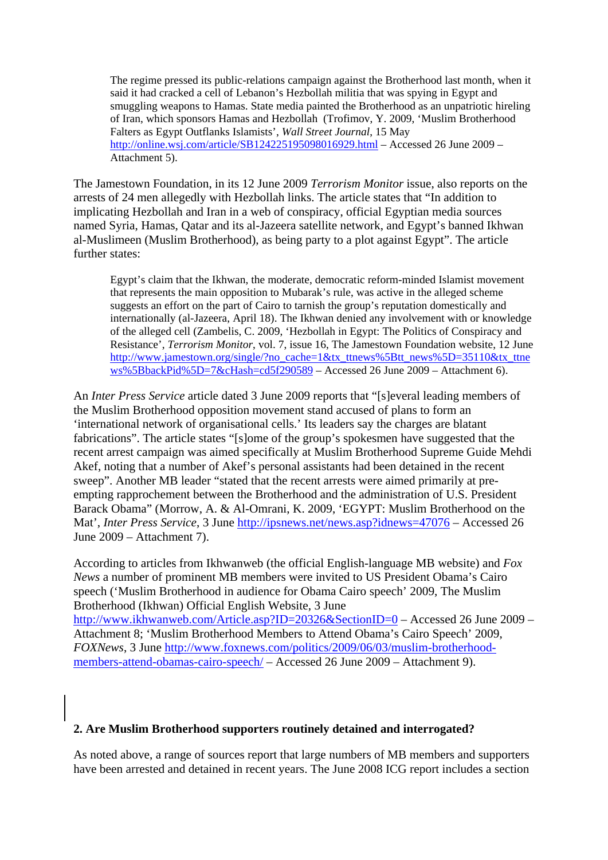The regime pressed its public-relations campaign against the Brotherhood last month, when it said it had cracked a cell of Lebanon's Hezbollah militia that was spying in Egypt and smuggling weapons to Hamas. State media painted the Brotherhood as an unpatriotic hireling of Iran, which sponsors Hamas and Hezbollah (Trofimov, Y. 2009, 'Muslim Brotherhood Falters as Egypt Outflanks Islamists', *Wall Street Journal*, 15 May <http://online.wsj.com/article/SB124225195098016929.html> – Accessed 26 June 2009 – Attachment 5).

The Jamestown Foundation, in its 12 June 2009 *Terrorism Monitor* issue, also reports on the arrests of 24 men allegedly with Hezbollah links. The article states that "In addition to implicating Hezbollah and Iran in a web of conspiracy, official Egyptian media sources named Syria, Hamas, Qatar and its al-Jazeera satellite network, and Egypt's banned Ikhwan al-Muslimeen (Muslim Brotherhood), as being party to a plot against Egypt". The article further states:

Egypt's claim that the Ikhwan, the moderate, democratic reform-minded Islamist movement that represents the main opposition to Mubarak's rule, was active in the alleged scheme suggests an effort on the part of Cairo to tarnish the group's reputation domestically and internationally (al-Jazeera, April 18). The Ikhwan denied any involvement with or knowledge of the alleged cell (Zambelis, C. 2009, 'Hezbollah in Egypt: The Politics of Conspiracy and Resistance', *Terrorism Monitor*, vol. 7, issue 16, The Jamestown Foundation website, 12 June [http://www.jamestown.org/single/?no\\_cache=1&tx\\_ttnews%5Btt\\_news%5D=35110&tx\\_ttne](http://www.jamestown.org/single/?no_cache=1&tx_ttnews%5Btt_news%5D=35110&tx_ttnews%5BbackPid%5D=7&cHash=cd5f290589) [ws%5BbackPid%5D=7&cHash=cd5f290589](http://www.jamestown.org/single/?no_cache=1&tx_ttnews%5Btt_news%5D=35110&tx_ttnews%5BbackPid%5D=7&cHash=cd5f290589) – Accessed 26 June 2009 – Attachment 6).

An *Inter Press Service* article dated 3 June 2009 reports that "[s]everal leading members of the Muslim Brotherhood opposition movement stand accused of plans to form an 'international network of organisational cells.' Its leaders say the charges are blatant fabrications". The article states "[s]ome of the group's spokesmen have suggested that the recent arrest campaign was aimed specifically at Muslim Brotherhood Supreme Guide Mehdi Akef, noting that a number of Akef's personal assistants had been detained in the recent sweep". Another MB leader "stated that the recent arrests were aimed primarily at preempting rapprochement between the Brotherhood and the administration of U.S. President Barack Obama" (Morrow, A. & Al-Omrani, K. 2009, 'EGYPT: Muslim Brotherhood on the Mat', *Inter Press Service*, 3 June <http://ipsnews.net/news.asp?idnews=47076>– Accessed 26 June 2009 – Attachment 7).

According to articles from Ikhwanweb (the official English-language MB website) and *Fox News* a number of prominent MB members were invited to US President Obama's Cairo speech ('Muslim Brotherhood in audience for Obama Cairo speech' 2009, The Muslim Brotherhood (Ikhwan) Official English Website, 3 June <http://www.ikhwanweb.com/Article.asp?ID=20326&SectionID=0>– Accessed 26 June 2009 –

Attachment 8; 'Muslim Brotherhood Members to Attend Obama's Cairo Speech' 2009, *FOXNews*, 3 June [http://www.foxnews.com/politics/2009/06/03/muslim-brotherhood](http://www.foxnews.com/politics/2009/06/03/muslim-brotherhood-members-attend-obamas-cairo-speech/)[members-attend-obamas-cairo-speech/](http://www.foxnews.com/politics/2009/06/03/muslim-brotherhood-members-attend-obamas-cairo-speech/) – Accessed 26 June 2009 – Attachment 9).

# **2. Are Muslim Brotherhood supporters routinely detained and interrogated?**

As noted above, a range of sources report that large numbers of MB members and supporters have been arrested and detained in recent years. The June 2008 ICG report includes a section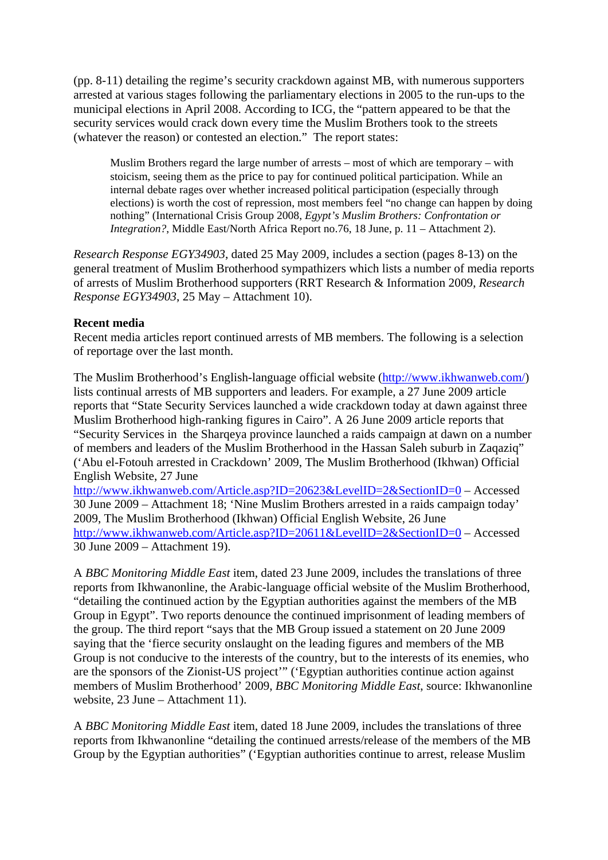(pp. 8-11) detailing the regime's security crackdown against MB, with numerous supporters arrested at various stages following the parliamentary elections in 2005 to the run-ups to the municipal elections in April 2008. According to ICG, the "pattern appeared to be that the security services would crack down every time the Muslim Brothers took to the streets (whatever the reason) or contested an election." The report states:

Muslim Brothers regard the large number of arrests – most of which are temporary – with stoicism, seeing them as the price to pay for continued political participation. While an internal debate rages over whether increased political participation (especially through elections) is worth the cost of repression, most members feel "no change can happen by doing nothing" (International Crisis Group 2008, *Egypt's Muslim Brothers: Confrontation or Integration?*, Middle East/North Africa Report no.76, 18 June, p. 11 – Attachment 2).

*Research Response EGY34903*, dated 25 May 2009, includes a section (pages 8-13) on the general treatment of Muslim Brotherhood sympathizers which lists a number of media reports of arrests of Muslim Brotherhood supporters (RRT Research & Information 2009, *Research Response EGY34903*, 25 May – Attachment 10).

## **Recent media**

Recent media articles report continued arrests of MB members. The following is a selection of reportage over the last month.

The Muslim Brotherhood's English-language official website (<http://www.ikhwanweb.com/>) lists continual arrests of MB supporters and leaders. For example, a 27 June 2009 article reports that "State Security Services launched a wide crackdown today at dawn against three Muslim Brotherhood high-ranking figures in Cairo". A 26 June 2009 article reports that "Security Services in the Sharqeya province launched a raids campaign at dawn on a number of members and leaders of the Muslim Brotherhood in the Hassan Saleh suburb in Zaqaziq" ('Abu el-Fotouh arrested in Crackdown' 2009, The Muslim Brotherhood (Ikhwan) Official English Website, 27 June

<http://www.ikhwanweb.com/Article.asp?ID=20623&LevelID=2&SectionID=0>– Accessed 30 June 2009 – Attachment 18; 'Nine Muslim Brothers arrested in a raids campaign today' 2009, The Muslim Brotherhood (Ikhwan) Official English Website, 26 June <http://www.ikhwanweb.com/Article.asp?ID=20611&LevelID=2&SectionID=0>– Accessed 30 June 2009 – Attachment 19).

A *BBC Monitoring Middle East* item, dated 23 June 2009, includes the translations of three reports from Ikhwanonline, the Arabic-language official website of the Muslim Brotherhood, "detailing the continued action by the Egyptian authorities against the members of the MB Group in Egypt". Two reports denounce the continued imprisonment of leading members of the group. The third report "says that the MB Group issued a statement on 20 June 2009 saying that the 'fierce security onslaught on the leading figures and members of the MB Group is not conducive to the interests of the country, but to the interests of its enemies, who are the sponsors of the Zionist-US project'" ('Egyptian authorities continue action against members of Muslim Brotherhood' 2009, *BBC Monitoring Middle East*, source: Ikhwanonline website, 23 June – Attachment 11).

A *BBC Monitoring Middle East* item, dated 18 June 2009, includes the translations of three reports from Ikhwanonline "detailing the continued arrests/release of the members of the MB Group by the Egyptian authorities" ('Egyptian authorities continue to arrest, release Muslim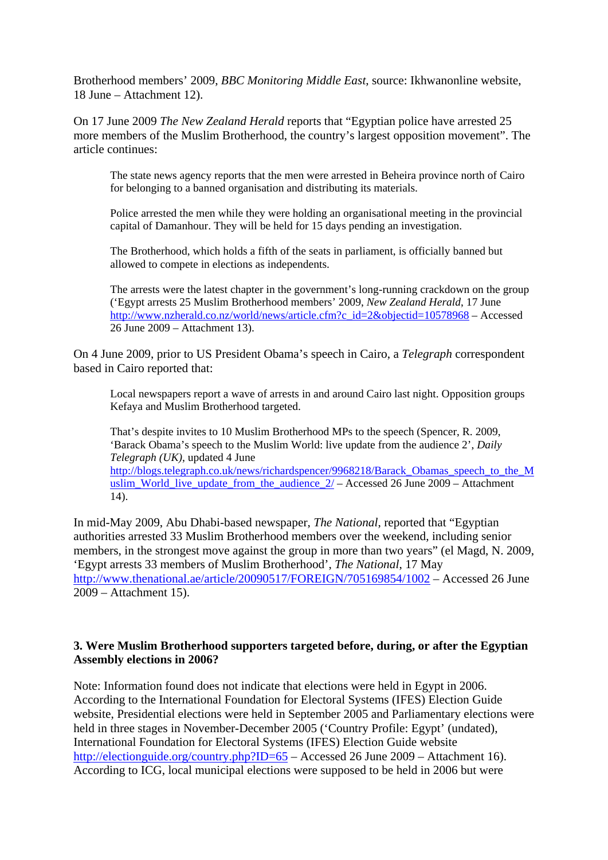Brotherhood members' 2009, *BBC Monitoring Middle East*, source: Ikhwanonline website, 18 June – Attachment 12).

On 17 June 2009 *The New Zealand Herald* reports that "Egyptian police have arrested 25 more members of the Muslim Brotherhood, the country's largest opposition movement". The article continues:

The state news agency reports that the men were arrested in Beheira province north of Cairo for belonging to a banned organisation and distributing its materials.

Police arrested the men while they were holding an organisational meeting in the provincial capital of Damanhour. They will be held for 15 days pending an investigation.

The Brotherhood, which holds a fifth of the seats in parliament, is officially banned but allowed to compete in elections as independents.

The arrests were the latest chapter in the government's long-running crackdown on the group ('Egypt arrests 25 Muslim Brotherhood members' 2009, *New Zealand Herald*, 17 June [http://www.nzherald.co.nz/world/news/article.cfm?c\\_id=2&objectid=10578968](http://www.nzherald.co.nz/world/news/article.cfm?c_id=2&objectid=10578968) – Accessed 26 June 2009 – Attachment 13).

On 4 June 2009, prior to US President Obama's speech in Cairo, a *Telegraph* correspondent based in Cairo reported that:

Local newspapers report a wave of arrests in and around Cairo last night. Opposition groups Kefaya and Muslim Brotherhood targeted.

That's despite invites to 10 Muslim Brotherhood MPs to the speech (Spencer, R. 2009, 'Barack Obama's speech to the Muslim World: live update from the audience 2', *Daily Telegraph (UK)*, updated 4 June [http://blogs.telegraph.co.uk/news/richardspencer/9968218/Barack\\_Obamas\\_speech\\_to\\_the\\_M](http://blogs.telegraph.co.uk/news/richardspencer/9968218/Barack_Obamas_speech_to_the_Muslim_World_live_update_from_the_audience_2/) uslim World live update from the audience  $2/$  – Accessed 26 June 2009 – Attachment 14).

In mid-May 2009, Abu Dhabi-based newspaper, *The National*, reported that "Egyptian authorities arrested 33 Muslim Brotherhood members over the weekend, including senior members, in the strongest move against the group in more than two years" (el Magd, N. 2009, 'Egypt arrests 33 members of Muslim Brotherhood', *The National*, 17 May <http://www.thenational.ae/article/20090517/FOREIGN/705169854/1002> – Accessed 26 June 2009 – Attachment 15).

## **3. Were Muslim Brotherhood supporters targeted before, during, or after the Egyptian Assembly elections in 2006?**

Note: Information found does not indicate that elections were held in Egypt in 2006. According to the International Foundation for Electoral Systems (IFES) Election Guide website, Presidential elections were held in September 2005 and Parliamentary elections were held in three stages in November-December 2005 ('Country Profile: Egypt' (undated), International Foundation for Electoral Systems (IFES) Election Guide website <http://electionguide.org/country.php?ID=65> – Accessed 26 June 2009 – Attachment 16). According to ICG, local municipal elections were supposed to be held in 2006 but were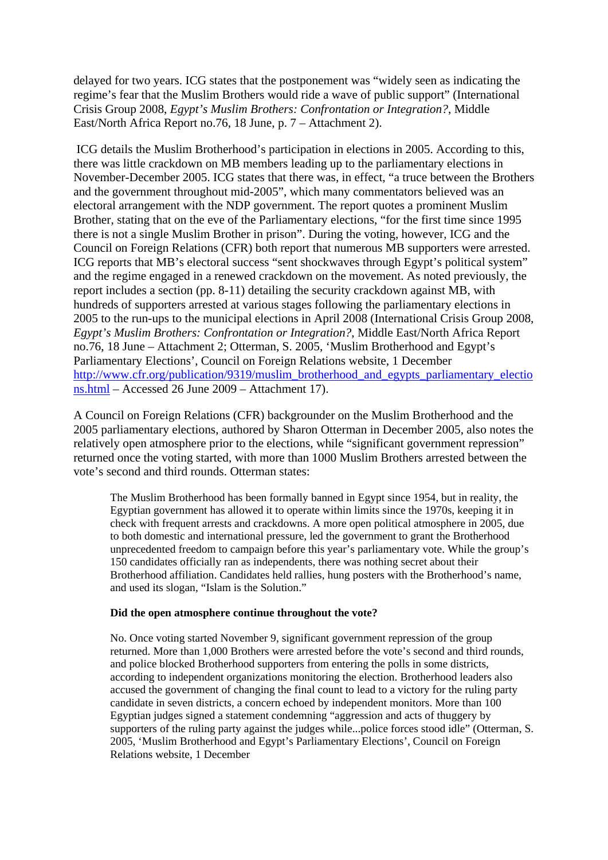delayed for two years. ICG states that the postponement was "widely seen as indicating the regime's fear that the Muslim Brothers would ride a wave of public support" (International Crisis Group 2008, *Egypt's Muslim Brothers: Confrontation or Integration?*, Middle East/North Africa Report no.76, 18 June, p. 7 – Attachment 2).

 ICG details the Muslim Brotherhood's participation in elections in 2005. According to this, there was little crackdown on MB members leading up to the parliamentary elections in November-December 2005. ICG states that there was, in effect, "a truce between the Brothers and the government throughout mid-2005", which many commentators believed was an electoral arrangement with the NDP government. The report quotes a prominent Muslim Brother, stating that on the eve of the Parliamentary elections, "for the first time since 1995 there is not a single Muslim Brother in prison". During the voting, however, ICG and the Council on Foreign Relations (CFR) both report that numerous MB supporters were arrested. ICG reports that MB's electoral success "sent shockwaves through Egypt's political system" and the regime engaged in a renewed crackdown on the movement. As noted previously, the report includes a section (pp. 8-11) detailing the security crackdown against MB, with hundreds of supporters arrested at various stages following the parliamentary elections in 2005 to the run-ups to the municipal elections in April 2008 (International Crisis Group 2008, *Egypt's Muslim Brothers: Confrontation or Integration?*, Middle East/North Africa Report no.76, 18 June – Attachment 2; Otterman, S. 2005, 'Muslim Brotherhood and Egypt's Parliamentary Elections', Council on Foreign Relations website, 1 December [http://www.cfr.org/publication/9319/muslim\\_brotherhood\\_and\\_egypts\\_parliamentary\\_electio](http://www.cfr.org/publication/9319/muslim_brotherhood_and_egypts_parliamentary_elections.html) [ns.html](http://www.cfr.org/publication/9319/muslim_brotherhood_and_egypts_parliamentary_elections.html) – Accessed 26 June 2009 – Attachment 17).

A Council on Foreign Relations (CFR) backgrounder on the Muslim Brotherhood and the 2005 parliamentary elections, authored by Sharon Otterman in December 2005, also notes the relatively open atmosphere prior to the elections, while "significant government repression" returned once the voting started, with more than 1000 Muslim Brothers arrested between the vote's second and third rounds. Otterman states:

The Muslim Brotherhood has been formally banned in Egypt since 1954, but in reality, the Egyptian government has allowed it to operate within limits since the 1970s, keeping it in check with frequent arrests and crackdowns. A more open political atmosphere in 2005, due to both domestic and international pressure, led the government to grant the Brotherhood unprecedented freedom to campaign before this year's parliamentary vote. While the group's 150 candidates officially ran as independents, there was nothing secret about their Brotherhood affiliation. Candidates held rallies, hung posters with the Brotherhood's name, and used its slogan, "Islam is the Solution."

### **Did the open atmosphere continue throughout the vote?**

No. Once voting started November 9, significant government repression of the group returned. More than 1,000 Brothers were arrested before the vote's second and third rounds, and police blocked Brotherhood supporters from entering the polls in some districts, according to independent organizations monitoring the election. Brotherhood leaders also accused the government of changing the final count to lead to a victory for the ruling party candidate in seven districts, a concern echoed by independent monitors. More than 100 Egyptian judges signed a statement condemning "aggression and acts of thuggery by supporters of the ruling party against the judges while...police forces stood idle" (Otterman, S. 2005, 'Muslim Brotherhood and Egypt's Parliamentary Elections', Council on Foreign Relations website, 1 December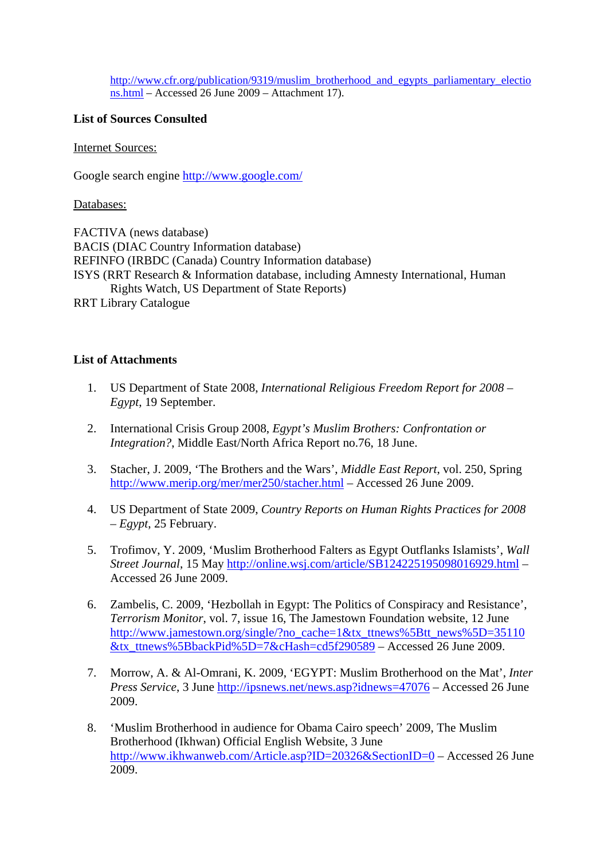[http://www.cfr.org/publication/9319/muslim\\_brotherhood\\_and\\_egypts\\_parliamentary\\_electio](http://www.cfr.org/publication/9319/muslim_brotherhood_and_egypts_parliamentary_elections.html) [ns.html](http://www.cfr.org/publication/9319/muslim_brotherhood_and_egypts_parliamentary_elections.html) – Accessed 26 June 2009 – Attachment 17).

## **List of Sources Consulted**

Internet Sources:

Google search engine<http://www.google.com/>

Databases:

FACTIVA (news database) BACIS (DIAC Country Information database) REFINFO (IRBDC (Canada) Country Information database) ISYS (RRT Research & Information database, including Amnesty International, Human Rights Watch, US Department of State Reports) RRT Library Catalogue

## **List of Attachments**

- 1. US Department of State 2008, *International Religious Freedom Report for 2008 Egypt*, 19 September.
- 2. International Crisis Group 2008, *Egypt's Muslim Brothers: Confrontation or Integration?*, Middle East/North Africa Report no.76, 18 June.
- 3. Stacher, J. 2009, 'The Brothers and the Wars', *Middle East Report*, vol. 250, Spring <http://www.merip.org/mer/mer250/stacher.html>– Accessed 26 June 2009.
- 4. US Department of State 2009, *Country Reports on Human Rights Practices for 2008 – Egypt*, 25 February.
- 5. Trofimov, Y. 2009, 'Muslim Brotherhood Falters as Egypt Outflanks Islamists', *Wall Street Journal*, 15 May<http://online.wsj.com/article/SB124225195098016929.html>– Accessed 26 June 2009.
- 6. Zambelis, C. 2009, 'Hezbollah in Egypt: The Politics of Conspiracy and Resistance', *Terrorism Monitor*, vol. 7, issue 16, The Jamestown Foundation website, 12 June [http://www.jamestown.org/single/?no\\_cache=1&tx\\_ttnews%5Btt\\_news%5D=35110](http://www.jamestown.org/single/?no_cache=1&tx_ttnews%5Btt_news%5D=35110&tx_ttnews%5BbackPid%5D=7&cHash=cd5f290589) [&tx\\_ttnews%5BbackPid%5D=7&cHash=cd5f290589](http://www.jamestown.org/single/?no_cache=1&tx_ttnews%5Btt_news%5D=35110&tx_ttnews%5BbackPid%5D=7&cHash=cd5f290589) – Accessed 26 June 2009.
- 7. Morrow, A. & Al-Omrani, K. 2009, 'EGYPT: Muslim Brotherhood on the Mat', *Inter Press Service*, 3 June <http://ipsnews.net/news.asp?idnews=47076> – Accessed 26 June 2009.
- 8. 'Muslim Brotherhood in audience for Obama Cairo speech' 2009, The Muslim Brotherhood (Ikhwan) Official English Website, 3 June <http://www.ikhwanweb.com/Article.asp?ID=20326&SectionID=0>– Accessed 26 June 2009.